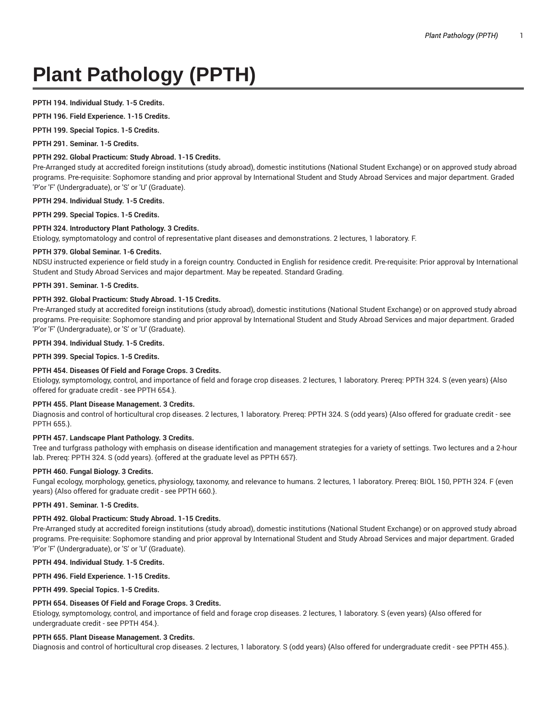# **Plant Pathology (PPTH)**

## **PPTH 194. Individual Study. 1-5 Credits.**

**PPTH 196. Field Experience. 1-15 Credits.**

**PPTH 199. Special Topics. 1-5 Credits.**

**PPTH 291. Seminar. 1-5 Credits.**

# **PPTH 292. Global Practicum: Study Abroad. 1-15 Credits.**

Pre-Arranged study at accredited foreign institutions (study abroad), domestic institutions (National Student Exchange) or on approved study abroad programs. Pre-requisite: Sophomore standing and prior approval by International Student and Study Abroad Services and major department. Graded 'P'or 'F' (Undergraduate), or 'S' or 'U' (Graduate).

# **PPTH 294. Individual Study. 1-5 Credits.**

**PPTH 299. Special Topics. 1-5 Credits.**

## **PPTH 324. Introductory Plant Pathology. 3 Credits.**

Etiology, symptomatology and control of representative plant diseases and demonstrations. 2 lectures, 1 laboratory. F.

#### **PPTH 379. Global Seminar. 1-6 Credits.**

NDSU instructed experience or field study in a foreign country. Conducted in English for residence credit. Pre-requisite: Prior approval by International Student and Study Abroad Services and major department. May be repeated. Standard Grading.

## **PPTH 391. Seminar. 1-5 Credits.**

# **PPTH 392. Global Practicum: Study Abroad. 1-15 Credits.**

Pre-Arranged study at accredited foreign institutions (study abroad), domestic institutions (National Student Exchange) or on approved study abroad programs. Pre-requisite: Sophomore standing and prior approval by International Student and Study Abroad Services and major department. Graded 'P'or 'F' (Undergraduate), or 'S' or 'U' (Graduate).

#### **PPTH 394. Individual Study. 1-5 Credits.**

**PPTH 399. Special Topics. 1-5 Credits.**

# **PPTH 454. Diseases Of Field and Forage Crops. 3 Credits.**

Etiology, symptomology, control, and importance of field and forage crop diseases. 2 lectures, 1 laboratory. Prereq: PPTH 324. S (even years) {Also offered for graduate credit - see PPTH 654.}.

# **PPTH 455. Plant Disease Management. 3 Credits.**

Diagnosis and control of horticultural crop diseases. 2 lectures, 1 laboratory. Prereq: PPTH 324. S (odd years) {Also offered for graduate credit - see PPTH 655.}.

## **PPTH 457. Landscape Plant Pathology. 3 Credits.**

Tree and turfgrass pathology with emphasis on disease identification and management strategies for a variety of settings. Two lectures and a 2-hour lab. Prereq: PPTH 324. S (odd years). {offered at the graduate level as PPTH 657}.

## **PPTH 460. Fungal Biology. 3 Credits.**

Fungal ecology, morphology, genetics, physiology, taxonomy, and relevance to humans. 2 lectures, 1 laboratory. Prereq: BIOL 150, PPTH 324. F (even years) {Also offered for graduate credit - see PPTH 660.}.

#### **PPTH 491. Seminar. 1-5 Credits.**

## **PPTH 492. Global Practicum: Study Abroad. 1-15 Credits.**

Pre-Arranged study at accredited foreign institutions (study abroad), domestic institutions (National Student Exchange) or on approved study abroad programs. Pre-requisite: Sophomore standing and prior approval by International Student and Study Abroad Services and major department. Graded 'P'or 'F' (Undergraduate), or 'S' or 'U' (Graduate).

## **PPTH 494. Individual Study. 1-5 Credits.**

## **PPTH 496. Field Experience. 1-15 Credits.**

**PPTH 499. Special Topics. 1-5 Credits.**

## **PPTH 654. Diseases Of Field and Forage Crops. 3 Credits.**

Etiology, symptomology, control, and importance of field and forage crop diseases. 2 lectures, 1 laboratory. S (even years) {Also offered for undergraduate credit - see PPTH 454.}.

## **PPTH 655. Plant Disease Management. 3 Credits.**

Diagnosis and control of horticultural crop diseases. 2 lectures, 1 laboratory. S (odd years) {Also offered for undergraduate credit - see PPTH 455.}.